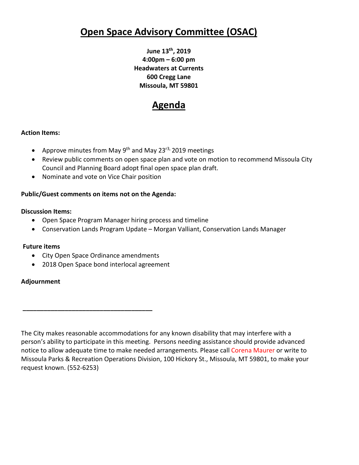# **Open Space Advisory Committee (OSAC)**

**June 13th, 2019 4:00pm – 6:00 pm Headwaters at Currents 600 Cregg Lane Missoula, MT 59801**

## **Agenda**

## **Action Items:**

- Approve minutes from May  $9<sup>th</sup>$  and May 23<sup>r3,</sup> 2019 meetings
- Review public comments on open space plan and vote on motion to recommend Missoula City Council and Planning Board adopt final open space plan draft.
- Nominate and vote on Vice Chair position

## **Public/Guest comments on items not on the Agenda:**

## **Discussion Items:**

- Open Space Program Manager hiring process and timeline
- Conservation Lands Program Update Morgan Valliant, Conservation Lands Manager

## **Future items**

• City Open Space Ordinance amendments

**\_\_\_\_\_\_\_\_\_\_\_\_\_\_\_\_\_\_\_\_\_\_\_\_\_\_\_\_\_\_\_\_\_\_\_\_\_**

• 2018 Open Space bond interlocal agreement

## **Adjournment**

The City makes reasonable accommodations for any known disability that may interfere with a person's ability to participate in this meeting. Persons needing assistance should provide advanced notice to allow adequate time to make needed arrangements. Please call Corena Maurer or write to Missoula Parks & Recreation Operations Division, 100 Hickory St., Missoula, MT 59801, to make your request known. (552-6253)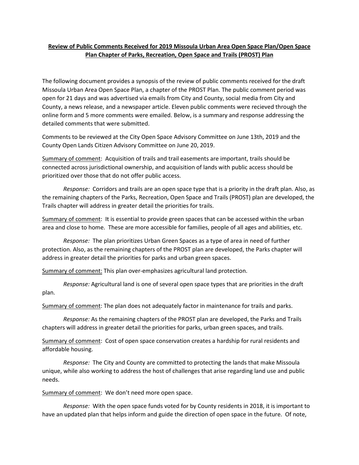## **Review of Public Comments Received for 2019 Missoula Urban Area Open Space Plan/Open Space Plan Chapter of Parks, Recreation, Open Space and Trails (PROST) Plan**

The following document provides a synopsis of the review of public comments received for the draft Missoula Urban Area Open Space Plan, a chapter of the PROST Plan. The public comment period was open for 21 days and was advertised via emails from City and County, social media from City and County, a news release, and a newspaper article. Eleven public comments were recieved through the online form and 5 more comments were emailed. Below, is a summary and response addressing the detailed comments that were submitted.

Comments to be reviewed at the City Open Space Advisory Committee on June 13th, 2019 and the County Open Lands Citizen Advisory Committee on June 20, 2019.

Summary of comment: Acquisition of trails and trail easements are important, trails should be connected across jurisdictional ownership, and acquisition of lands with public access should be prioritized over those that do not offer public access.

*Response:* Corridors and trails are an open space type that is a priority in the draft plan. Also, as the remaining chapters of the Parks, Recreation, Open Space and Trails (PROST) plan are developed, the Trails chapter will address in greater detail the priorities for trails.

Summary of comment: It is essential to provide green spaces that can be accessed within the urban area and close to home. These are more accessible for families, people of all ages and abilities, etc.

*Response:* The plan prioritizes Urban Green Spaces as a type of area in need of further protection. Also, as the remaining chapters of the PROST plan are developed, the Parks chapter will address in greater detail the priorities for parks and urban green spaces.

Summary of comment: This plan over-emphasizes agricultural land protection.

*Response:* Agricultural land is one of several open space types that are priorities in the draft plan.

Summary of comment: The plan does not adequately factor in maintenance for trails and parks.

*Response:* As the remaining chapters of the PROST plan are developed, the Parks and Trails chapters will address in greater detail the priorities for parks, urban green spaces, and trails.

Summary of comment: Cost of open space conservation creates a hardship for rural residents and affordable housing.

*Response:* The City and County are committed to protecting the lands that make Missoula unique, while also working to address the host of challenges that arise regarding land use and public needs.

Summary of comment: We don't need more open space.

*Response:* With the open space funds voted for by County residents in 2018, it is important to have an updated plan that helps inform and guide the direction of open space in the future. Of note,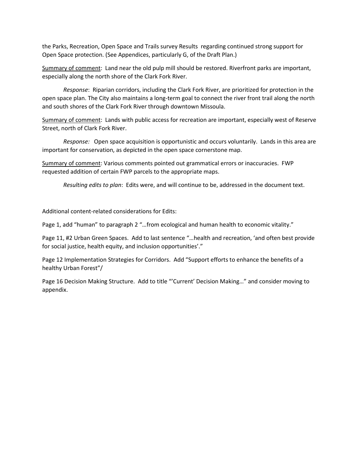the Parks, Recreation, Open Space and Trails survey Results regarding continued strong support for Open Space protection. (See Appendices, particularly G, of the Draft Plan.)

Summary of comment: Land near the old pulp mill should be restored. Riverfront parks are important, especially along the north shore of the Clark Fork River.

*Response*: Riparian corridors, including the Clark Fork River, are prioritized for protection in the open space plan. The City also maintains a long-term goal to connect the river front trail along the north and south shores of the Clark Fork River through downtown Missoula.

Summary of comment: Lands with public access for recreation are important, especially west of Reserve Street, north of Clark Fork River.

*Response:* Open space acquisition is opportunistic and occurs voluntarily. Lands in this area are important for conservation, as depicted in the open space cornerstone map.

Summary of comment: Various comments pointed out grammatical errors or inaccuracies. FWP requested addition of certain FWP parcels to the appropriate maps.

*Resulting edits to plan*: Edits were, and will continue to be, addressed in the document text.

Additional content-related considerations for Edits:

Page 1, add "human" to paragraph 2 "...from ecological and human health to economic vitality."

Page 11, #2 Urban Green Spaces. Add to last sentence "…health and recreation, 'and often best provide for social justice, health equity, and inclusion opportunities'."

Page 12 Implementation Strategies for Corridors. Add "Support efforts to enhance the benefits of a healthy Urban Forest"/

Page 16 Decision Making Structure. Add to title "'Current' Decision Making…" and consider moving to appendix.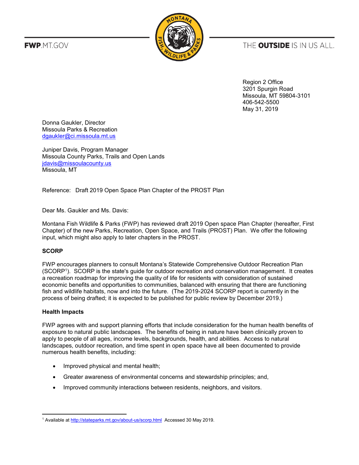**FWP.MT.GOV** 



THE **OUTSIDE** IS IN US ALL.

Region 2 Office 3201 Spurgin Road Missoula, MT 59804-3101 406-542-5500 May 31, 2019

Donna Gaukler, Director Missoula Parks & Recreation [dgaukler@ci.missoula.mt.us](mailto:dgaukler@ci.missoula.mt.us)

Juniper Davis, Program Manager Missoula County Parks, Trails and Open Lands [jdavis@missoulacounty.us](mailto:jdavis@missoulacounty.us) Missoula, MT

Reference: Draft 2019 Open Space Plan Chapter of the PROST Plan

Dear Ms. Gaukler and Ms. Davis:

Montana Fish Wildlife & Parks (FWP) has reviewed draft 2019 Open space Plan Chapter (hereafter, First Chapter) of the new Parks, Recreation, Open Space, and Trails (PROST) Plan. We offer the following input, which might also apply to later chapters in the PROST.

#### **SCORP**

FWP encourages planners to consult Montana's Statewide Comprehensive Outdoor Recreation Plan (SCORP<sup>1</sup> ). SCORP is the state's guide for outdoor recreation and conservation management. It creates a recreation roadmap for improving the quality of life for residents with consideration of sustained economic benefits and opportunities to communities, balanced with ensuring that there are functioning fish and wildlife habitats, now and into the future. (The 2019-2024 SCORP report is currently in the process of being drafted; it is expected to be published for public review by December 2019.)

#### **Health Impacts**

 $\overline{a}$ 

FWP agrees with and support planning efforts that include consideration for the human health benefits of exposure to natural public landscapes. The benefits of being in nature have been clinically proven to apply to people of all ages, income levels, backgrounds, health, and abilities. Access to natural landscapes, outdoor recreation, and time spent in open space have all been documented to provide numerous health benefits, including:

- Improved physical and mental health;
- Greater awareness of environmental concerns and stewardship principles; and,
- Improved community interactions between residents, neighbors, and visitors.

<sup>1</sup> Available a[t http://stateparks.mt.gov/about-us/scorp.html](http://stateparks.mt.gov/about-us/scorp.html) Accessed 30 May 2019.